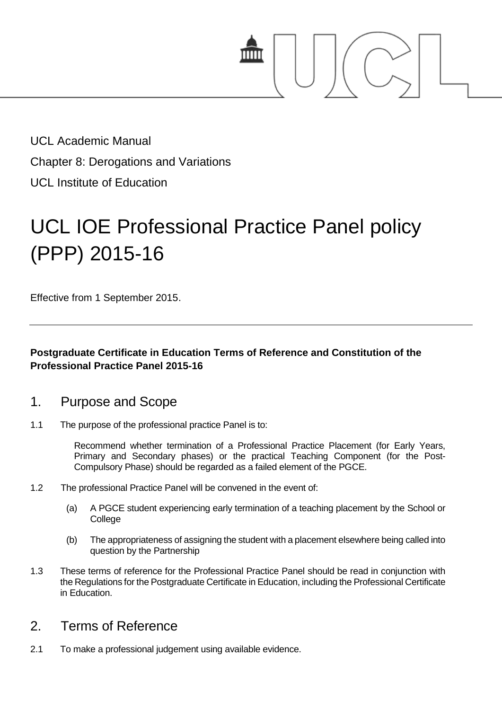

UCL Academic Manual Chapter 8: Derogations and Variations UCL Institute of Education

# UCL IOE Professional Practice Panel policy (PPP) 2015-16

Effective from 1 September 2015.

#### **Postgraduate Certificate in Education Terms of Reference and Constitution of the Professional Practice Panel 2015-16**

#### 1. Purpose and Scope

1.1 The purpose of the professional practice Panel is to:

Recommend whether termination of a Professional Practice Placement (for Early Years, Primary and Secondary phases) or the practical Teaching Component (for the Post-Compulsory Phase) should be regarded as a failed element of the PGCE.

- 1.2 The professional Practice Panel will be convened in the event of:
	- (a) A PGCE student experiencing early termination of a teaching placement by the School or **College**
	- (b) The appropriateness of assigning the student with a placement elsewhere being called into question by the Partnership
- 1.3 These terms of reference for the Professional Practice Panel should be read in conjunction with the Regulations for the Postgraduate Certificate in Education, including the Professional Certificate in Education.

## 2. Terms of Reference

2.1 To make a professional judgement using available evidence.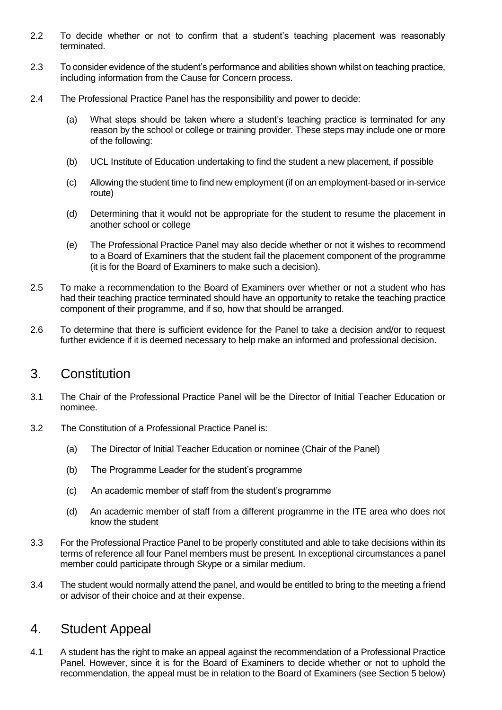- 2.2 To decide whether or not to confirm that a student's teaching placement was reasonably terminated.
- 2.3 To consider evidence of the student's performance and abilities shown whilst on teaching practice, including information from the Cause for Concern process.
- 2.4 The Professional Practice Panel has the responsibility and power to decide:
	- (a) What steps should be taken where a student's teaching practice is terminated for any reason by the school or college or training provider. These steps may include one or more of the following:
	- (b) UCL Institute of Education undertaking to find the student a new placement, if possible
	- (c) Allowing the student time to find new employment (if on an employment-based or in-service route)
	- (d) Determining that it would not be appropriate for the student to resume the placement in another school or college
	- (e) The Professional Practice Panel may also decide whether or not it wishes to recommend to a Board of Examiners that the student fail the placement component of the programme (it is for the Board of Examiners to make such a decision).
- 2.5 To make a recommendation to the Board of Examiners over whether or not a student who has had their teaching practice terminated should have an opportunity to retake the teaching practice component of their programme, and if so, how that should be arranged.
- 2.6 To determine that there is sufficient evidence for the Panel to take a decision and/or to request further evidence if it is deemed necessary to help make an informed and professional decision.

## 3. Constitution

- 3.1 The Chair of the Professional Practice Panel will be the Director of Initial Teacher Education or nominee.
- 3.2 The Constitution of a Professional Practice Panel is:
	- (a) The Director of Initial Teacher Education or nominee (Chair of the Panel)
	- (b) The Programme Leader for the student's programme
	- (c) An academic member of staff from the student's programme
	- (d) An academic member of staff from a different programme in the ITE area who does not know the student
- 3.3 For the Professional Practice Panel to be properly constituted and able to take decisions within its terms of reference all four Panel members must be present. In exceptional circumstances a panel member could participate through Skype or a similar medium.
- 3.4 The student would normally attend the panel, and would be entitled to bring to the meeting a friend or advisor of their choice and at their expense.

# 4. Student Appeal

4.1 A student has the right to make an appeal against the recommendation of a Professional Practice Panel. However, since it is for the Board of Examiners to decide whether or not to uphold the recommendation, the appeal must be in relation to the Board of Examiners (see Section 5 below)